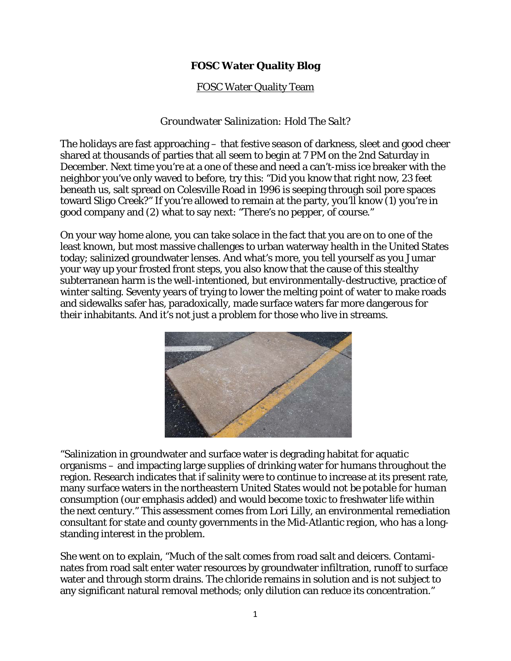## **FOSC Water Quality Blog**

## FOSC Water Quality Team

## *Groundwater Salinization: Hold The Salt?*

The holidays are fast approaching – that festive season of darkness, sleet and good cheer shared at thousands of parties that all seem to begin at 7 PM on the 2nd Saturday in December. Next time you're at a one of these and need a can't-miss ice breaker with the neighbor you've only waved to before, try this: "Did you know that right now, 23 feet beneath us, salt spread on Colesville Road in 1996 is seeping through soil pore spaces toward Sligo Creek?" If you're allowed to remain at the party, you'll know (1) you're in good company and (2) what to say next: "There's no pepper, of course."

On your way home alone, you can take solace in the fact that you are on to one of the least known, but most massive challenges to urban waterway health in the United States today; salinized groundwater lenses. And what's more, you tell yourself as you Jumar your way up your frosted front steps, you also know that the cause of this stealthy subterranean harm is the well-intentioned, but environmentally-destructive, practice of winter salting. Seventy years of trying to lower the melting point of water to make roads and sidewalks safer has, paradoxically, made surface waters far more dangerous for their inhabitants. And it's not just a problem for those who live in streams.



"Salinization in groundwater and surface water is degrading habitat for aquatic organisms – and impacting large supplies of drinking water for humans throughout the region. Research indicates that if salinity were to continue to increase at its present rate, many surface waters in the northeastern United States *would not be potable for human consumption* (our emphasis added) and would become toxic to freshwater life within the next century." This assessment comes from Lori Lilly, an environmental remediation consultant for state and county governments in the Mid-Atlantic region, who has a longstanding interest in the problem.

She went on to explain, "Much of the salt comes from road salt and deicers. Contaminates from road salt enter water resources by groundwater infiltration, runoff to surface water and through storm drains. The chloride remains in solution and is not subject to any significant natural removal methods; only dilution can reduce its concentration."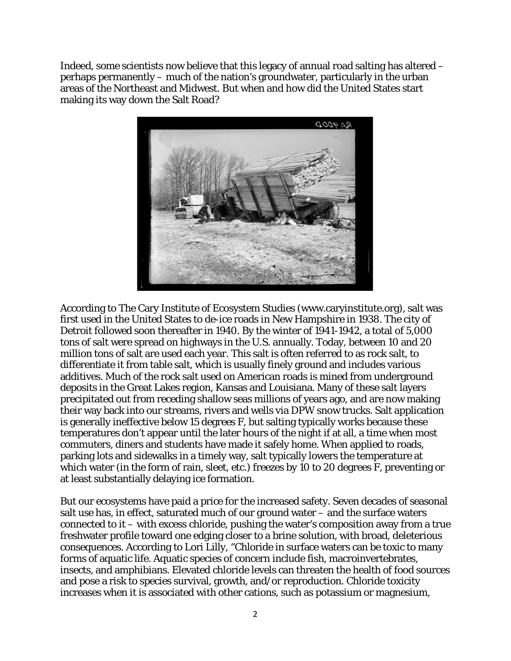Indeed, some scientists now believe that this legacy of annual road salting has altered – perhaps permanently – much of the nation's groundwater, particularly in the urban areas of the Northeast and Midwest. But when and how did the United States start making its way down the Salt Road?



According to The Cary Institute of Ecosystem Studies (www.caryinstitute.org), salt was first used in the United States to de-ice roads in New Hampshire in 1938. The city of Detroit followed soon thereafter in 1940. By the winter of 1941-1942, a total of 5,000 tons of salt were spread on highways in the U.S. annually. Today, between 10 and 20 *million* tons of salt are used each year. This salt is often referred to as rock salt, to differentiate it from table salt, which is usually finely ground and includes various additives. Much of the rock salt used on American roads is mined from underground deposits in the Great Lakes region, Kansas and Louisiana. Many of these salt layers precipitated out from receding shallow seas millions of years ago, and are now making their way back into our streams, rivers and wells via DPW snow trucks. Salt application is generally ineffective below 15 degrees F, but salting typically works because these temperatures don't appear until the later hours of the night if at all, a time when most commuters, diners and students have made it safely home. When applied to roads, parking lots and sidewalks in a timely way, salt typically lowers the temperature at which water (in the form of rain, sleet, etc.) freezes by 10 to 20 degrees F, preventing or at least substantially delaying ice formation.

But our ecosystems have paid a price for the increased safety. Seven decades of seasonal salt use has, in effect, saturated much of our ground water – and the surface waters connected to it – with excess chloride, pushing the water's composition away from a true freshwater profile toward one edging closer to a brine solution, with broad, deleterious consequences. According to Lori Lilly, "Chloride in surface waters can be toxic to many forms of aquatic life. Aquatic species of concern include fish, macroinvertebrates, insects, and amphibians. Elevated chloride levels can threaten the health of food sources and pose a risk to species survival, growth, and/or reproduction. Chloride toxicity increases when it is associated with other cations, such as potassium or magnesium,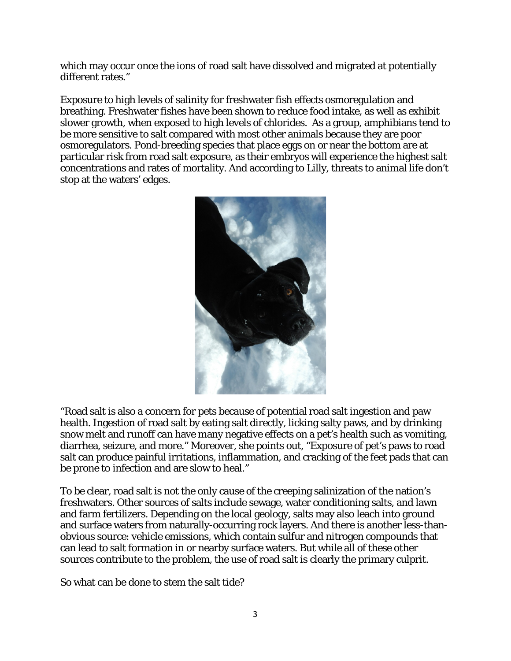which may occur once the ions of road salt have dissolved and migrated at potentially different rates."

Exposure to high levels of salinity for freshwater fish effects osmoregulation and breathing. Freshwater fishes have been shown to reduce food intake, as well as exhibit slower growth, when exposed to high levels of chlorides. As a group, amphibians tend to be more sensitive to salt compared with most other animals because they are poor osmoregulators. Pond-breeding species that place eggs on or near the bottom are at particular risk from road salt exposure, as their embryos will experience the highest salt concentrations and rates of mortality. And according to Lilly, threats to animal life don't stop at the waters' edges.



"Road salt is also a concern for pets because of potential road salt ingestion and paw health. Ingestion of road salt by eating salt directly, licking salty paws, and by drinking snow melt and runoff can have many negative effects on a pet's health such as vomiting, diarrhea, seizure, and more." Moreover, she points out, "Exposure of pet's paws to road salt can produce painful irritations, inflammation, and cracking of the feet pads that can be prone to infection and are slow to heal."

To be clear, road salt is not the only cause of the creeping salinization of the nation's freshwaters. Other sources of salts include sewage, water conditioning salts, and lawn and farm fertilizers. Depending on the local geology, salts may also leach into ground and surface waters from naturally-occurring rock layers. And there is another less-thanobvious source: vehicle emissions, which contain sulfur and nitrogen compounds that can lead to salt formation in or nearby surface waters. But while all of these other sources contribute to the problem, the use of road salt is clearly the primary culprit.

So what can be done to stem the salt tide?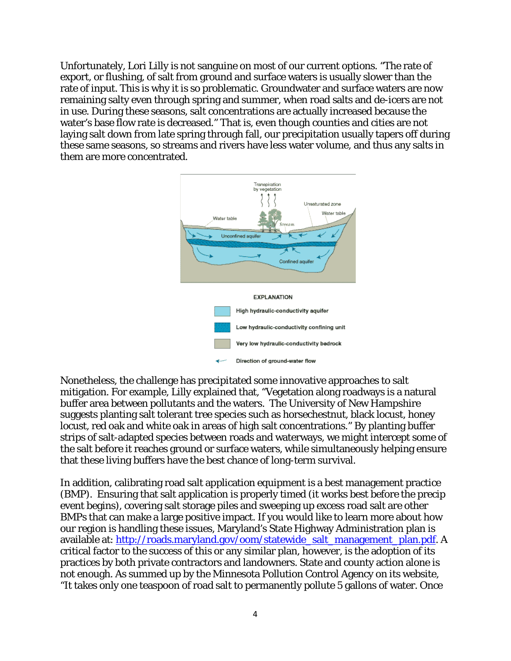Unfortunately, Lori Lilly is not sanguine on most of our current options. "The rate of export, or flushing, of salt from ground and surface waters is usually slower than the rate of input. This is why it is so problematic. Groundwater and surface waters are now remaining salty even through spring and summer, when road salts and de-icers are not in use. During these seasons, salt concentrations are actually increased because the water's base flow rate is decreased." That is, even though counties and cities are not laying salt down from late spring through fall, our precipitation usually tapers off during these same seasons, so streams and rivers have less water volume, and thus any salts in them are more concentrated.



Nonetheless, the challenge has precipitated some innovative approaches to salt mitigation. For example, Lilly explained that, "Vegetation along roadways is a natural buffer area between pollutants and the waters. The University of New Hampshire suggests planting salt tolerant tree species such as horsechestnut, black locust, honey locust, red oak and white oak in areas of high salt concentrations." By planting buffer strips of salt-adapted species between roads and waterways, we might intercept some of the salt before it reaches ground or surface waters, while simultaneously helping ensure that these living buffers have the best chance of long-term survival.

In addition, calibrating road salt application equipment is a best management practice (BMP). Ensuring that salt application is properly timed (it works best before the precip event begins), covering salt storage piles and sweeping up excess road salt are other BMPs that can make a large positive impact. If you would like to learn more about how our region is handling these issues, Maryland's State Highway Administration plan is available at: [http://roads.maryland.gov/oom/statewide\\_salt\\_management\\_plan.pdf.](http://roads.maryland.gov/oom/statewide_salt_management_plan.pdf) A critical factor to the success of this or any similar plan, however, is the adoption of its practices by both private contractors and landowners. State and county action alone is not enough. As summed up by the Minnesota Pollution Control Agency on its website, "It takes only one teaspoon of road salt to permanently pollute 5 gallons of water. Once